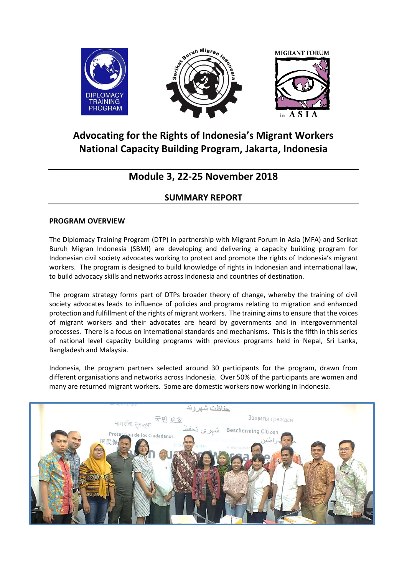

# **Advocating for the Rights of Indonesia's Migrant Workers National Capacity Building Program, Jakarta, Indonesia**

## **Module 3, 22-25 November 2018**

## **SUMMARY REPORT**

### **PROGRAM OVERVIEW**

The Diplomacy Training Program (DTP) in partnership with Migrant Forum in Asia (MFA) and Serikat Buruh Migran Indonesia (SBMI) are developing and delivering a capacity building program for Indonesian civil society advocates working to protect and promote the rights of Indonesia's migrant workers. The program is designed to build knowledge of rights in Indonesian and international law, to build advocacy skills and networks across Indonesia and countries of destination.

The program strategy forms part of DTPs broader theory of change, whereby the training of civil society advocates leads to influence of policies and programs relating to migration and enhanced protection and fulfillment of the rights of migrant workers. The training aims to ensure that the voices of migrant workers and their advocates are heard by governments and in intergovernmental processes. There is a focus on international standards and mechanisms. This is the fifth in this series of national level capacity building programs with previous programs held in Nepal, Sri Lanka, Bangladesh and Malaysia.

Indonesia, the program partners selected around 30 participants for the program, drawn from different organisations and networks across Indonesia. Over 50% of the participants are women and many are returned migrant workers. Some are domestic workers now working in Indonesia.

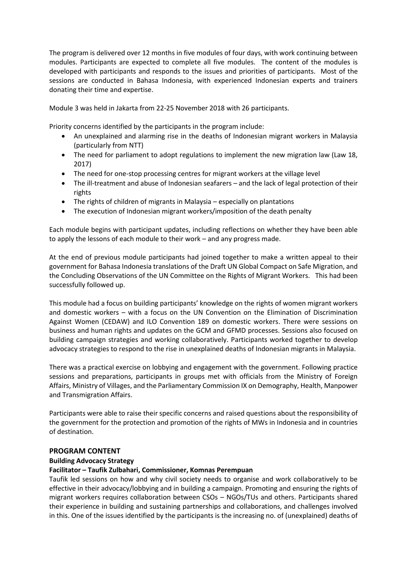The program is delivered over 12 months in five modules of four days, with work continuing between modules. Participants are expected to complete all five modules. The content of the modules is developed with participants and responds to the issues and priorities of participants. Most of the sessions are conducted in Bahasa Indonesia, with experienced Indonesian experts and trainers donating their time and expertise.

Module 3 was held in Jakarta from 22-25 November 2018 with 26 participants.

Priority concerns identified by the participants in the program include:

- An unexplained and alarming rise in the deaths of Indonesian migrant workers in Malaysia (particularly from NTT)
- The need for parliament to adopt regulations to implement the new migration law (Law 18, 2017)
- The need for one-stop processing centres for migrant workers at the village level
- The ill-treatment and abuse of Indonesian seafarers and the lack of legal protection of their rights
- The rights of children of migrants in Malaysia especially on plantations
- The execution of Indonesian migrant workers/imposition of the death penalty

Each module begins with participant updates, including reflections on whether they have been able to apply the lessons of each module to their work – and any progress made.

At the end of previous module participants had joined together to make a written appeal to their government for Bahasa Indonesia translations of the Draft UN Global Compact on Safe Migration, and the Concluding Observations of the UN Committee on the Rights of Migrant Workers. This had been successfully followed up.

This module had a focus on building participants' knowledge on the rights of women migrant workers and domestic workers – with a focus on the UN Convention on the Elimination of Discrimination Against Women (CEDAW) and ILO Convention 189 on domestic workers. There were sessions on business and human rights and updates on the GCM and GFMD processes. Sessions also focused on building campaign strategies and working collaboratively. Participants worked together to develop advocacy strategies to respond to the rise in unexplained deaths of Indonesian migrants in Malaysia.

There was a practical exercise on lobbying and engagement with the government. Following practice sessions and preparations, participants in groups met with officials from the Ministry of Foreign Affairs, Ministry of Villages, and the Parliamentary Commission IX on Demography, Health, Manpower and Transmigration Affairs.

Participants were able to raise their specific concerns and raised questions about the responsibility of the government for the protection and promotion of the rights of MWs in Indonesia and in countries of destination.

#### **PROGRAM CONTENT**

#### **Building Advocacy Strategy**

#### **Facilitator – Taufik Zulbahari, Commissioner, Komnas Perempuan**

Taufik led sessions on how and why civil society needs to organise and work collaboratively to be effective in their advocacy/lobbying and in building a campaign. Promoting and ensuring the rights of migrant workers requires collaboration between CSOs – NGOs/TUs and others. Participants shared their experience in building and sustaining partnerships and collaborations, and challenges involved in this. One of the issues identified by the participants is the increasing no. of (unexplained) deaths of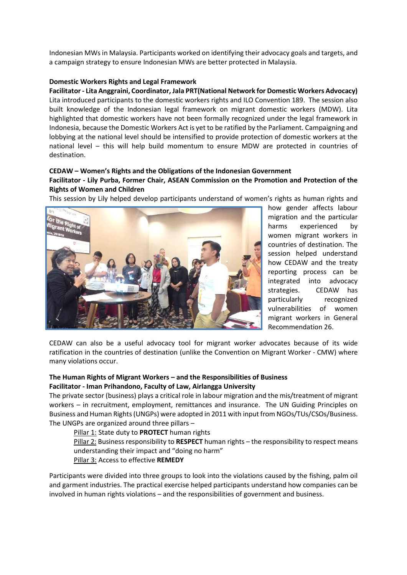Indonesian MWs in Malaysia. Participants worked on identifying their advocacy goals and targets, and a campaign strategy to ensure Indonesian MWs are better protected in Malaysia.

#### **Domestic Workers Rights and Legal Framework**

**Facilitator - Lita Anggraini, Coordinator, Jala PRT(National Network for Domestic Workers Advocacy)** Lita introduced participants to the domestic workers rights and ILO Convention 189. The session also built knowledge of the Indonesian legal framework on migrant domestic workers (MDW). Lita highlighted that domestic workers have not been formally recognized under the legal framework in Indonesia, because the Domestic Workers Act is yet to be ratified by the Parliament. Campaigning and lobbying at the national level should be intensified to provide protection of domestic workers at the national level – this will help build momentum to ensure MDW are protected in countries of destination.

#### **CEDAW – Women's Rights and the Obligations of the Indonesian Government**

#### **Facilitator - Lily Purba, Former Chair, ASEAN Commission on the Promotion and Protection of the Rights of Women and Children**

This session by Lily helped develop participants understand of women's rights as human rights and



how gender affects labour migration and the particular harms experienced by women migrant workers in countries of destination. The session helped understand how CEDAW and the treaty reporting process can be integrated into advocacy strategies. CEDAW has particularly recognized vulnerabilities of women migrant workers in General Recommendation 26.

CEDAW can also be a useful advocacy tool for migrant worker advocates because of its wide ratification in the countries of destination (unlike the Convention on Migrant Worker - CMW) where many violations occur.

#### **The Human Rights of Migrant Workers – and the Responsibilities of Business Facilitator - Iman Prihandono, Faculty of Law, Airlangga University**

The private sector (business) plays a critical role in labour migration and the mis/treatment of migrant workers – in recruitment, employment, remittances and insurance. The UN Guiding Principles on Business and Human Rights (UNGPs) were adopted in 2011 with input from NGOs/TUs/CSOs/Business. The UNGPs are organized around three pillars –

Pillar 1: State duty to **PROTECT** human rights

Pillar 2: Business responsibility to **RESPECT** human rights – the responsibility to respect means understanding their impact and "doing no harm"

Pillar 3: Access to effective **REMEDY**

Participants were divided into three groups to look into the violations caused by the fishing, palm oil and garment industries. The practical exercise helped participants understand how companies can be involved in human rights violations – and the responsibilities of government and business.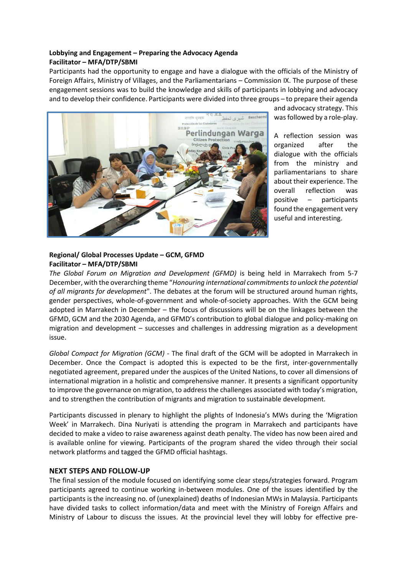#### **Lobbying and Engagement – Preparing the Advocacy Agenda Facilitator – MFA/DTP/SBMI**

Participants had the opportunity to engage and have a dialogue with the officials of the Ministry of Foreign Affairs, Ministry of Villages, and the Parliamentarians – Commission IX. The purpose of these engagement sessions was to build the knowledge and skills of participants in lobbying and advocacy and to develop their confidence. Participants were divided into three groups – to prepare their agenda



and advocacy strategy. This was followed by a role-play.

A reflection session was organized after the dialogue with the officials from the ministry and parliamentarians to share about their experience. The overall reflection was positive – participants found the engagement very useful and interesting.

#### **Regional/ Global Processes Update – GCM, GFMD Facilitator – MFA/DTP/SBMI**

*The Global Forum on Migration and Development (GFMD)* is being held in Marrakech from 5-7 December, with the overarching theme "*Honouring international commitments to unlock the potential of all migrants for development*". The debates at the forum will be structured around human rights, gender perspectives, whole-of-government and whole-of-society approaches. With the GCM being adopted in Marrakech in December – the focus of discussions will be on the linkages between the GFMD, GCM and the 2030 Agenda, and GFMD's contribution to global dialogue and policy-making on migration and development – successes and challenges in addressing migration as a development issue.

*Global Compact for Migration (GCM) -* The final draft of the GCM will be adopted in Marrakech in December. Once the Compact is adopted this is expected to be the first, inter-governmentally negotiated agreement, prepared under the auspices of the United Nations, to cover all dimensions of international migration in a holistic and comprehensive manner. It presents a significant opportunity to improve the governance on migration, to address the challenges associated with today's migration, and to strengthen the contribution of migrants and migration to sustainable development.

Participants discussed in plenary to highlight the plights of Indonesia's MWs during the 'Migration Week' in Marrakech. Dina Nuriyati is attending the program in Marrakech and participants have decided to make a video to raise awareness against death penalty. The video has now been aired and is available online for viewing. Participants of the program shared the video through their social network platforms and tagged the GFMD official hashtags.

#### **NEXT STEPS AND FOLLOW-UP**

The final session of the module focused on identifying some clear steps/strategies forward. Program participants agreed to continue working in-between modules. One of the issues identified by the participants is the increasing no. of (unexplained) deaths of Indonesian MWs in Malaysia. Participants have divided tasks to collect information/data and meet with the Ministry of Foreign Affairs and Ministry of Labour to discuss the issues. At the provincial level they will lobby for effective pre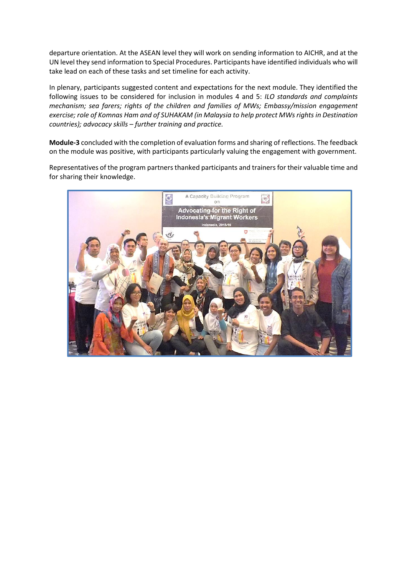departure orientation. At the ASEAN level they will work on sending information to AICHR, and at the UN level they send information to Special Procedures. Participants have identified individuals who will take lead on each of these tasks and set timeline for each activity.

In plenary, participants suggested content and expectations for the next module. They identified the following issues to be considered for inclusion in modules 4 and 5: *ILO standards and complaints mechanism; sea farers; rights of the children and families of MWs; Embassy/mission engagement exercise; role of Komnas Ham and of SUHAKAM (in Malaysia to help protect MWs rights in Destination countries); advocacy skills – further training and practice.* 

**Module-3** concluded with the completion of evaluation forms and sharing of reflections. The feedback on the module was positive, with participants particularly valuing the engagement with government.

Representatives of the program partners thanked participants and trainers for their valuable time and for sharing their knowledge.